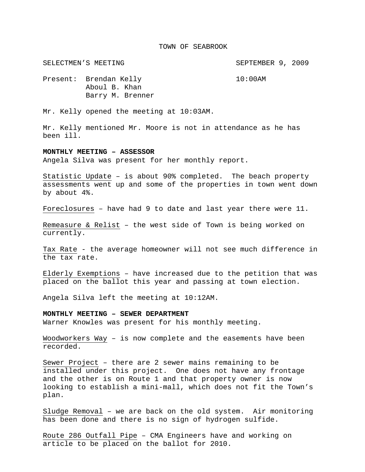#### TOWN OF SEABROOK

SELECTMEN'S MEETING SEPTEMBER 9, 2009

Present: Brendan Kelly 10:00AM Aboul B. Khan Barry M. Brenner

Mr. Kelly opened the meeting at 10:03AM.

Mr. Kelly mentioned Mr. Moore is not in attendance as he has been ill.

### **MONTHLY MEETING – ASSESSOR**

Angela Silva was present for her monthly report.

Statistic Update – is about 90% completed. The beach property assessments went up and some of the properties in town went down by about 4%.

Foreclosures – have had 9 to date and last year there were 11.

Remeasure & Relist – the west side of Town is being worked on currently.

Tax Rate - the average homeowner will not see much difference in the tax rate.

Elderly Exemptions – have increased due to the petition that was placed on the ballot this year and passing at town election.

Angela Silva left the meeting at 10:12AM.

**MONTHLY MEETING – SEWER DEPARTMENT** 

Warner Knowles was present for his monthly meeting.

Woodworkers Way – is now complete and the easements have been recorded.

Sewer Project – there are 2 sewer mains remaining to be installed under this project. One does not have any frontage and the other is on Route 1 and that property owner is now looking to establish a mini-mall, which does not fit the Town's plan.

Sludge Removal – we are back on the old system. Air monitoring has been done and there is no sign of hydrogen sulfide.

Route 286 Outfall Pipe – CMA Engineers have and working on article to be placed on the ballot for 2010.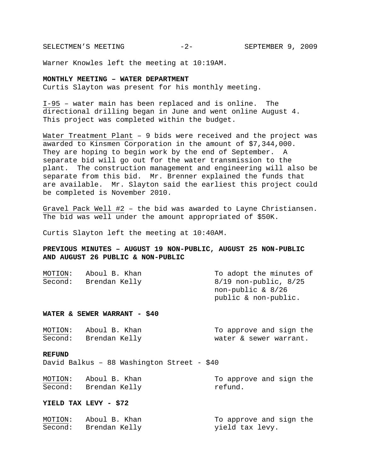SELECTMEN'S MEETING -2- SEPTEMBER 9, 2009

Warner Knowles left the meeting at 10:19AM.

## **MONTHLY MEETING – WATER DEPARTMENT**

Curtis Slayton was present for his monthly meeting.

I-95 – water main has been replaced and is online. The directional drilling began in June and went online August 4. This project was completed within the budget.

Water Treatment Plant – 9 bids were received and the project was awarded to Kinsmen Corporation in the amount of \$7,344,000. They are hoping to begin work by the end of September. A separate bid will go out for the water transmission to the plant. The construction management and engineering will also be separate from this bid. Mr. Brenner explained the funds that are available. Mr. Slayton said the earliest this project could be completed is November 2010.

Gravel Pack Well #2 – the bid was awarded to Layne Christiansen. The bid was well under the amount appropriated of \$50K.

Curtis Slayton left the meeting at 10:40AM.

# **PREVIOUS MINUTES – AUGUST 19 NON-PUBLIC, AUGUST 25 NON-PUBLIC AND AUGUST 26 PUBLIC & NON-PUBLIC**

| MOTION: | Aboul B. Khan | To adopt the minutes of   |
|---------|---------------|---------------------------|
| Second: | Brendan Kelly | $8/19$ non-public, $8/25$ |
|         |               | non-public $\&$ 8/26      |
|         |               | public & non-public.      |
|         |               |                           |

## **WATER & SEWER WARRANT - \$40**

| MOTION: | Aboul B. Khan | To approve and sign the |
|---------|---------------|-------------------------|
| Second: | Brendan Kelly | water & sewer warrant.  |

#### **REFUND**

David Balkus – 88 Washington Street - \$40

| MOTION: | Aboul B. Khan | To approve and sign the |
|---------|---------------|-------------------------|
| Second: | Brendan Kelly | refund.                 |

#### **YIELD TAX LEVY - \$72**

| MOTION: | Aboul B. Khan | To approve and sign the |
|---------|---------------|-------------------------|
| Second: | Brendan Kelly | yield tax levy.         |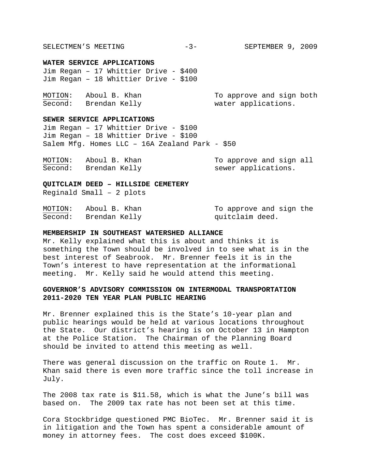SELECTMEN'S MEETING  $-3-$  SEPTEMBER 9, 2009

#### **WATER SERVICE APPLICATIONS**

Jim Regan – 17 Whittier Drive - \$400 Jim Regan – 18 Whittier Drive - \$100

| MOTION: | Aboul B. Khan | To approve and sign both |
|---------|---------------|--------------------------|
| Second: | Brendan Kelly | water applications.      |

#### **SEWER SERVICE APPLICATIONS**

Jim Regan – 17 Whittier Drive - \$100 Jim Regan – 18 Whittier Drive - \$100 Salem Mfg. Homes LLC – 16A Zealand Park - \$50

| MOTION: | Aboul B. Khan | To approve and sign all |
|---------|---------------|-------------------------|
| Second: | Brendan Kelly | sewer applications.     |

**QUITCLAIM DEED – HILLSIDE CEMETERY** 

Reginald Small – 2 plots

| MOTION: | Aboul B. Khan | To approve and sign the |
|---------|---------------|-------------------------|
| Second: | Brendan Kelly | quitclaim deed.         |

### **MEMBERSHIP IN SOUTHEAST WATERSHED ALLIANCE**

Mr. Kelly explained what this is about and thinks it is something the Town should be involved in to see what is in the best interest of Seabrook. Mr. Brenner feels it is in the Town's interest to have representation at the informational meeting. Mr. Kelly said he would attend this meeting.

## **GOVERNOR'S ADVISORY COMMISSION ON INTERMODAL TRANSPORTATION 2011-2020 TEN YEAR PLAN PUBLIC HEARING**

Mr. Brenner explained this is the State's 10-year plan and public hearings would be held at various locations throughout the State. Our district's hearing is on October 13 in Hampton at the Police Station. The Chairman of the Planning Board should be invited to attend this meeting as well.

There was general discussion on the traffic on Route 1. Mr. Khan said there is even more traffic since the toll increase in July.

The 2008 tax rate is \$11.58, which is what the June's bill was based on. The 2009 tax rate has not been set at this time.

Cora Stockbridge questioned PMC BioTec. Mr. Brenner said it is in litigation and the Town has spent a considerable amount of money in attorney fees. The cost does exceed \$100K.